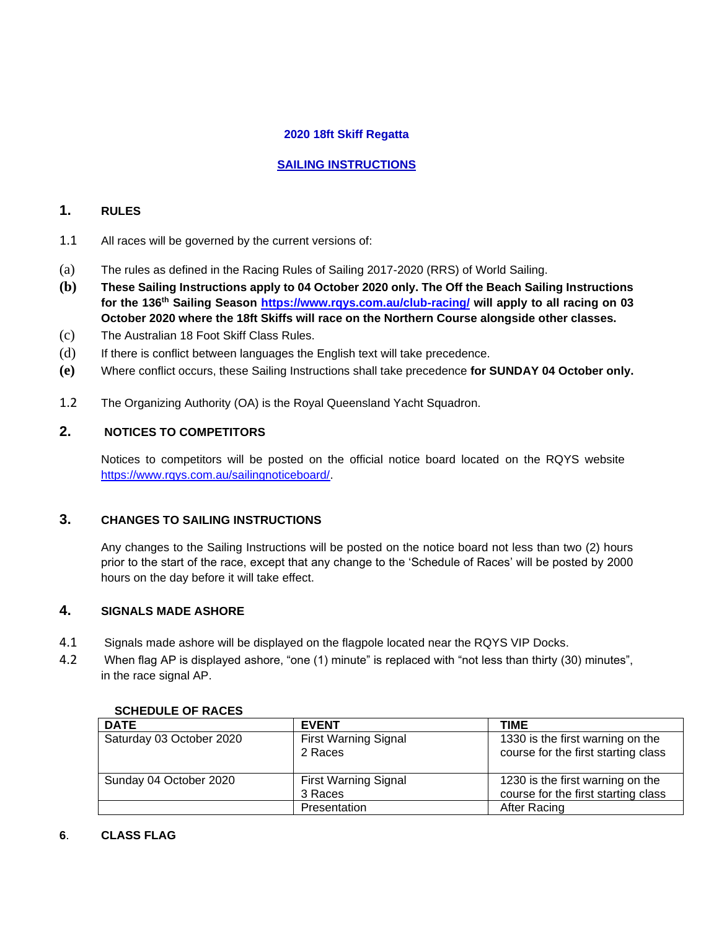# **2020 18ft Skiff Regatta**

# **SAILING INSTRUCTIONS**

# **1. RULES**

- 1.1 All races will be governed by the current versions of:
- (a) The rules as defined in the Racing Rules of Sailing 2017-2020 (RRS) of World Sailing.
- **(b) These Sailing Instructions apply to 04 October 2020 only. The Off the Beach Sailing Instructions for the 136th Sailing Season<https://www.rqys.com.au/club-racing/> will apply to all racing on 03 October 2020 where the 18ft Skiffs will race on the Northern Course alongside other classes.**
- (c) The Australian 18 Foot Skiff Class Rules.
- (d) If there is conflict between languages the English text will take precedence.
- **(e)** Where conflict occurs, these Sailing Instructions shall take precedence **for SUNDAY 04 October only.**
- 1.2 The Organizing Authority (OA) is the Royal Queensland Yacht Squadron.

# **2. NOTICES TO COMPETITORS**

Notices to competitors will be posted on the official notice board located on the RQYS website [https://www.rqys.com.au/sailingnoticeboard/.](https://www.rqys.com.au/sailingnoticeboard/) 

# **3. CHANGES TO SAILING INSTRUCTIONS**

Any changes to the Sailing Instructions will be posted on the notice board not less than two (2) hours prior to the start of the race, except that any change to the 'Schedule of Races' will be posted by 2000 hours on the day before it will take effect.

# **4. SIGNALS MADE ASHORE**

- 4.1 Signals made ashore will be displayed on the flagpole located near the RQYS VIP Docks.
- 4.2 When flag AP is displayed ashore, "one (1) minute" is replaced with "not less than thirty (30) minutes", in the race signal AP.

| <b>DATE</b>              | <b>EVENT</b>                           | <b>TIME</b>                                                             |
|--------------------------|----------------------------------------|-------------------------------------------------------------------------|
| Saturday 03 October 2020 | <b>First Warning Signal</b><br>2 Races | 1330 is the first warning on the<br>course for the first starting class |
| Sunday 04 October 2020   | <b>First Warning Signal</b><br>3 Races | 1230 is the first warning on the<br>course for the first starting class |
|                          | Presentation                           | After Racing                                                            |

#### **5. SCHEDULE OF RACES**

#### **6**. **CLASS FLAG**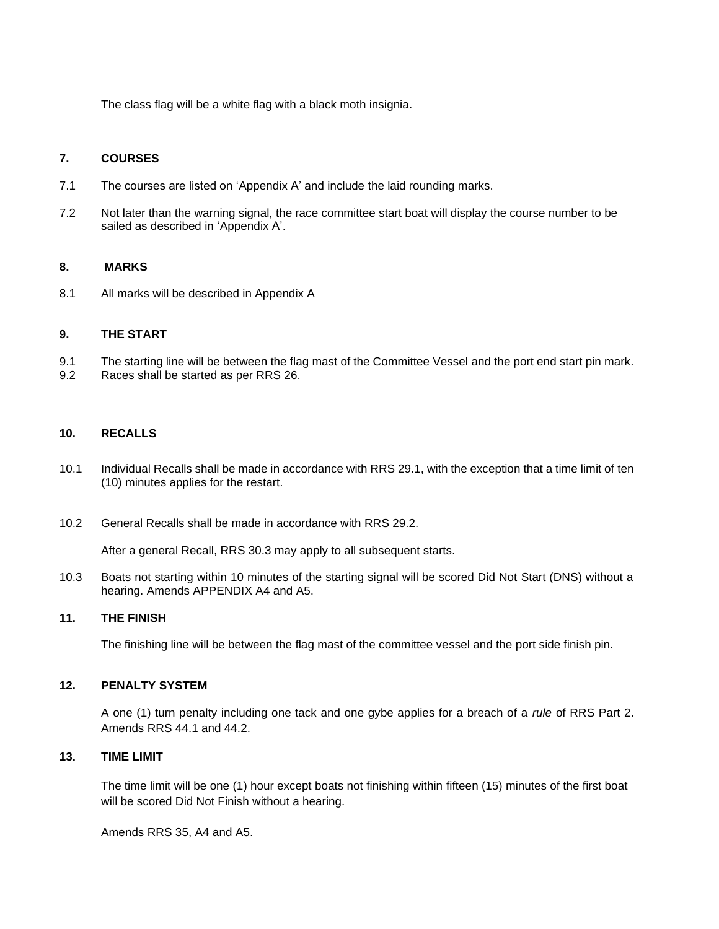The class flag will be a white flag with a black moth insignia.

## **7. COURSES**

- 7.1 The courses are listed on 'Appendix A' and include the laid rounding marks.
- 7.2 Not later than the warning signal, the race committee start boat will display the course number to be sailed as described in 'Appendix A'.

#### **8. MARKS**

8.1 All marks will be described in Appendix A

#### **9. THE START**

- 9.1 The starting line will be between the flag mast of the Committee Vessel and the port end start pin mark.
- 9.2 Races shall be started as per RRS 26.

#### **10. RECALLS**

- 10.1 Individual Recalls shall be made in accordance with RRS 29.1, with the exception that a time limit of ten (10) minutes applies for the restart.
- 10.2 General Recalls shall be made in accordance with RRS 29.2.

After a general Recall, RRS 30.3 may apply to all subsequent starts.

10.3 Boats not starting within 10 minutes of the starting signal will be scored Did Not Start (DNS) without a hearing. Amends APPENDIX A4 and A5.

#### **11. THE FINISH**

The finishing line will be between the flag mast of the committee vessel and the port side finish pin.

#### **12. PENALTY SYSTEM**

A one (1) turn penalty including one tack and one gybe applies for a breach of a *rule* of RRS Part 2. Amends RRS 44.1 and 44.2.

## **13. TIME LIMIT**

The time limit will be one (1) hour except boats not finishing within fifteen (15) minutes of the first boat will be scored Did Not Finish without a hearing.

Amends RRS 35, A4 and A5.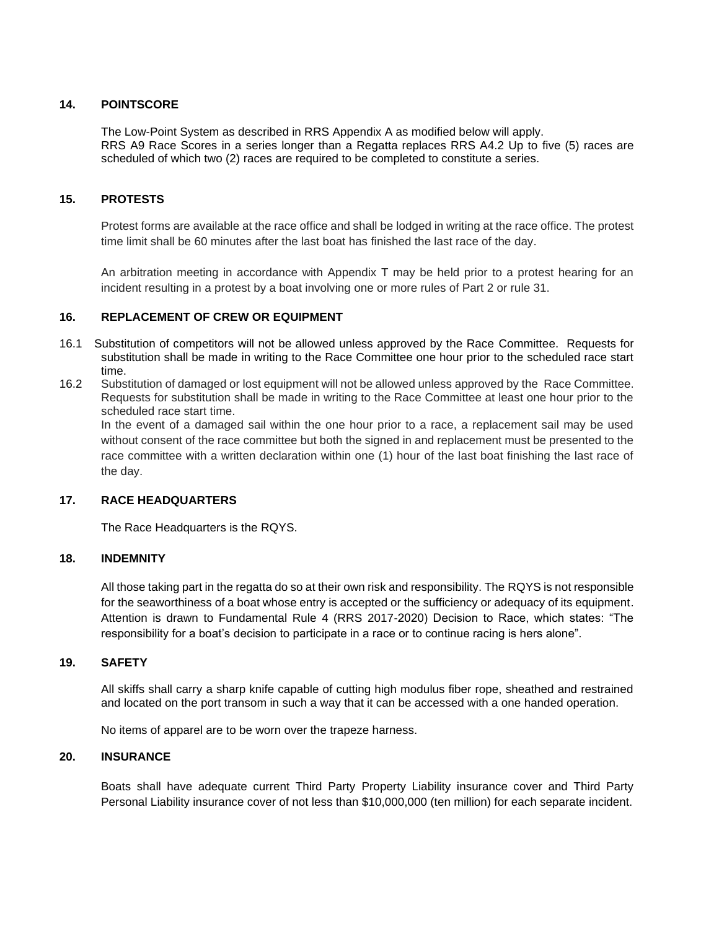### **14. POINTSCORE**

The Low-Point System as described in RRS Appendix A as modified below will apply. RRS A9 Race Scores in a series longer than a Regatta replaces RRS A4.2 Up to five (5) races are scheduled of which two (2) races are required to be completed to constitute a series.

## **15. PROTESTS**

Protest forms are available at the race office and shall be lodged in writing at the race office. The protest time limit shall be 60 minutes after the last boat has finished the last race of the day.

An arbitration meeting in accordance with Appendix T may be held prior to a protest hearing for an incident resulting in a protest by a boat involving one or more rules of Part 2 or rule 31.

## **16. REPLACEMENT OF CREW OR EQUIPMENT**

- 16.1 Substitution of competitors will not be allowed unless approved by the Race Committee. Requests for substitution shall be made in writing to the Race Committee one hour prior to the scheduled race start time.
- 16.2 Substitution of damaged or lost equipment will not be allowed unless approved by the Race Committee. Requests for substitution shall be made in writing to the Race Committee at least one hour prior to the scheduled race start time.

In the event of a damaged sail within the one hour prior to a race, a replacement sail may be used without consent of the race committee but both the signed in and replacement must be presented to the race committee with a written declaration within one (1) hour of the last boat finishing the last race of the day.

## **17. RACE HEADQUARTERS**

The Race Headquarters is the RQYS.

#### **18. INDEMNITY**

All those taking part in the regatta do so at their own risk and responsibility. The RQYS is not responsible for the seaworthiness of a boat whose entry is accepted or the sufficiency or adequacy of its equipment. Attention is drawn to Fundamental Rule 4 (RRS 2017-2020) Decision to Race, which states: "The responsibility for a boat's decision to participate in a race or to continue racing is hers alone".

### **19. SAFETY**

All skiffs shall carry a sharp knife capable of cutting high modulus fiber rope, sheathed and restrained and located on the port transom in such a way that it can be accessed with a one handed operation.

No items of apparel are to be worn over the trapeze harness.

## **20. INSURANCE**

Boats shall have adequate current Third Party Property Liability insurance cover and Third Party Personal Liability insurance cover of not less than \$10,000,000 (ten million) for each separate incident.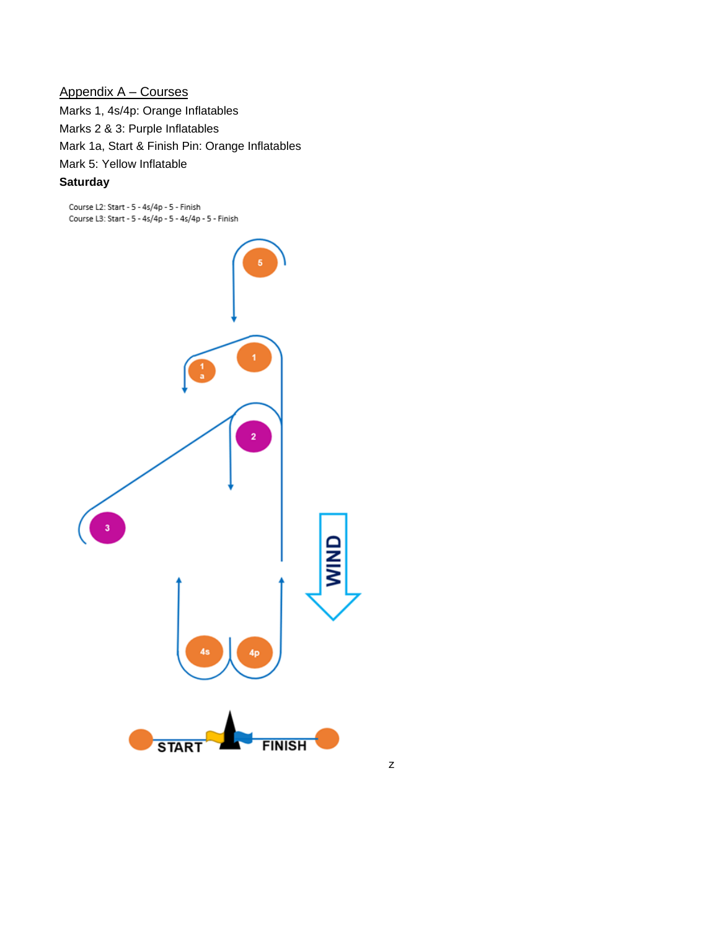# Appendix A – Courses

Marks 1, 4s/4p: Orange Inflatables Marks 2 & 3: Purple Inflatables Mark 1a, Start & Finish Pin: Orange Inflatables Mark 5: Yellow Inflatable

# **Saturday**

Course L2: Start - 5 - 4s/4p - 5 - Finish Course L3: Start - 5 - 4s/4p - 5 - 4s/4p - 5 - Finish